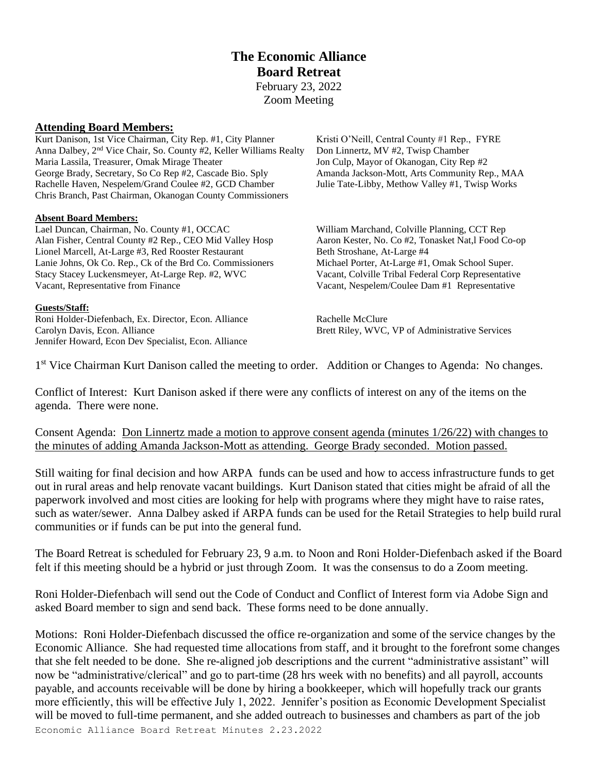# **The Economic Alliance Board Retreat** February 23, 2022

Zoom Meeting

### **Attending Board Members:**

Kurt Danison, 1st Vice Chairman, City Rep. #1, City Planner Kristi O'Neill, Central County #1 Rep., FYRE Anna Dalbey, 2<sup>nd</sup> Vice Chair, So. County #2, Keller Williams Realty Don Linnertz, MV #2, Twisp Chamber Maria Lassila, Treasurer, Omak Mirage Theater Jon Culp, Mayor of Okanogan, City Rep #2<br>George Brady, Secretary, So Co Rep #2, Cascade Bio. Sply Amanda Jackson-Mott, Arts Community Rep., MAA George Brady, Secretary, So Co Rep #2, Cascade Bio. Sply Rachelle Haven, Nespelem/Grand Coulee #2, GCD Chamber Julie Tate-Libby, Methow Valley #1, Twisp Works Chris Branch, Past Chairman, Okanogan County Commissioners

#### **Absent Board Members:**

Lael Duncan, Chairman, No. County #1, OCCAC William Marchand, Colville Planning, CCT Rep Alan Fisher, Central County #2 Rep., CEO Mid Valley Hosp Aaron Kester, No. Co #2, Tonasket Nat,l Food Co-op Lionel Marcell, At-Large #3, Red Rooster Restaurant Beth Stroshane, At-Large #4 Lanie Johns, Ok Co. Rep., Ck of the Brd Co. Commissioners Michael Porter, At-Large #1, Omak School Super. Stacy Stacey Luckensmeyer, At-Large Rep. #2, WVC Vacant, Colville Tribal Federal Corp Representative Vacant, Representative from Finance Vacant, Nespelem/Coulee Dam #1 Representative

#### **Guests/Staff:**

Roni Holder-Diefenbach, Ex. Director, Econ. Alliance Rachelle McClure Carolyn Davis, Econ. Alliance Brett Riley, WVC, VP of Administrative Services Jennifer Howard, Econ Dev Specialist, Econ. Alliance

1<sup>st</sup> Vice Chairman Kurt Danison called the meeting to order. Addition or Changes to Agenda: No changes.

Conflict of Interest: Kurt Danison asked if there were any conflicts of interest on any of the items on the agenda. There were none.

Consent Agenda: Don Linnertz made a motion to approve consent agenda (minutes 1/26/22) with changes to the minutes of adding Amanda Jackson-Mott as attending. George Brady seconded. Motion passed.

Still waiting for final decision and how ARPA funds can be used and how to access infrastructure funds to get out in rural areas and help renovate vacant buildings. Kurt Danison stated that cities might be afraid of all the paperwork involved and most cities are looking for help with programs where they might have to raise rates, such as water/sewer. Anna Dalbey asked if ARPA funds can be used for the Retail Strategies to help build rural communities or if funds can be put into the general fund.

The Board Retreat is scheduled for February 23, 9 a.m. to Noon and Roni Holder-Diefenbach asked if the Board felt if this meeting should be a hybrid or just through Zoom. It was the consensus to do a Zoom meeting.

Roni Holder-Diefenbach will send out the Code of Conduct and Conflict of Interest form via Adobe Sign and asked Board member to sign and send back. These forms need to be done annually.

Motions: Roni Holder-Diefenbach discussed the office re-organization and some of the service changes by the Economic Alliance. She had requested time allocations from staff, and it brought to the forefront some changes that she felt needed to be done. She re-aligned job descriptions and the current "administrative assistant" will now be "administrative/clerical" and go to part-time (28 hrs week with no benefits) and all payroll, accounts payable, and accounts receivable will be done by hiring a bookkeeper, which will hopefully track our grants more efficiently, this will be effective July 1, 2022. Jennifer's position as Economic Development Specialist will be moved to full-time permanent, and she added outreach to businesses and chambers as part of the job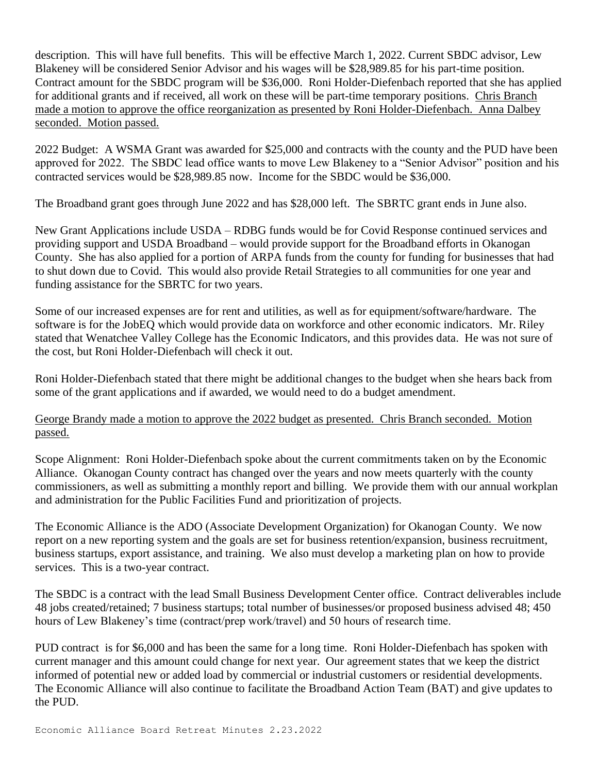description. This will have full benefits. This will be effective March 1, 2022. Current SBDC advisor, Lew Blakeney will be considered Senior Advisor and his wages will be \$28,989.85 for his part-time position. Contract amount for the SBDC program will be \$36,000. Roni Holder-Diefenbach reported that she has applied for additional grants and if received, all work on these will be part-time temporary positions. Chris Branch made a motion to approve the office reorganization as presented by Roni Holder-Diefenbach. Anna Dalbey seconded. Motion passed.

2022 Budget: A WSMA Grant was awarded for \$25,000 and contracts with the county and the PUD have been approved for 2022. The SBDC lead office wants to move Lew Blakeney to a "Senior Advisor" position and his contracted services would be \$28,989.85 now. Income for the SBDC would be \$36,000.

The Broadband grant goes through June 2022 and has \$28,000 left. The SBRTC grant ends in June also.

New Grant Applications include USDA – RDBG funds would be for Covid Response continued services and providing support and USDA Broadband – would provide support for the Broadband efforts in Okanogan County. She has also applied for a portion of ARPA funds from the county for funding for businesses that had to shut down due to Covid. This would also provide Retail Strategies to all communities for one year and funding assistance for the SBRTC for two years.

Some of our increased expenses are for rent and utilities, as well as for equipment/software/hardware. The software is for the JobEQ which would provide data on workforce and other economic indicators. Mr. Riley stated that Wenatchee Valley College has the Economic Indicators, and this provides data. He was not sure of the cost, but Roni Holder-Diefenbach will check it out.

Roni Holder-Diefenbach stated that there might be additional changes to the budget when she hears back from some of the grant applications and if awarded, we would need to do a budget amendment.

## George Brandy made a motion to approve the 2022 budget as presented. Chris Branch seconded. Motion passed.

Scope Alignment: Roni Holder-Diefenbach spoke about the current commitments taken on by the Economic Alliance. Okanogan County contract has changed over the years and now meets quarterly with the county commissioners, as well as submitting a monthly report and billing. We provide them with our annual workplan and administration for the Public Facilities Fund and prioritization of projects.

The Economic Alliance is the ADO (Associate Development Organization) for Okanogan County. We now report on a new reporting system and the goals are set for business retention/expansion, business recruitment, business startups, export assistance, and training. We also must develop a marketing plan on how to provide services. This is a two-year contract.

The SBDC is a contract with the lead Small Business Development Center office. Contract deliverables include 48 jobs created/retained; 7 business startups; total number of businesses/or proposed business advised 48; 450 hours of Lew Blakeney's time (contract/prep work/travel) and 50 hours of research time.

PUD contract is for \$6,000 and has been the same for a long time. Roni Holder-Diefenbach has spoken with current manager and this amount could change for next year. Our agreement states that we keep the district informed of potential new or added load by commercial or industrial customers or residential developments. The Economic Alliance will also continue to facilitate the Broadband Action Team (BAT) and give updates to the PUD.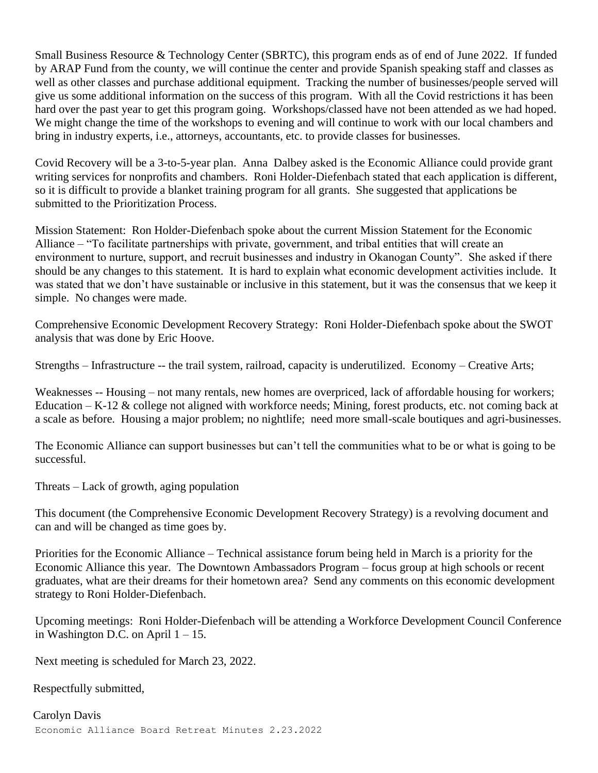Small Business Resource & Technology Center (SBRTC), this program ends as of end of June 2022. If funded by ARAP Fund from the county, we will continue the center and provide Spanish speaking staff and classes as well as other classes and purchase additional equipment. Tracking the number of businesses/people served will give us some additional information on the success of this program. With all the Covid restrictions it has been hard over the past year to get this program going. Workshops/classed have not been attended as we had hoped. We might change the time of the workshops to evening and will continue to work with our local chambers and bring in industry experts, i.e., attorneys, accountants, etc. to provide classes for businesses.

Covid Recovery will be a 3-to-5-year plan. Anna Dalbey asked is the Economic Alliance could provide grant writing services for nonprofits and chambers. Roni Holder-Diefenbach stated that each application is different, so it is difficult to provide a blanket training program for all grants. She suggested that applications be submitted to the Prioritization Process.

Mission Statement: Ron Holder-Diefenbach spoke about the current Mission Statement for the Economic Alliance – "To facilitate partnerships with private, government, and tribal entities that will create an environment to nurture, support, and recruit businesses and industry in Okanogan County". She asked if there should be any changes to this statement. It is hard to explain what economic development activities include. It was stated that we don't have sustainable or inclusive in this statement, but it was the consensus that we keep it simple. No changes were made.

Comprehensive Economic Development Recovery Strategy: Roni Holder-Diefenbach spoke about the SWOT analysis that was done by Eric Hoove.

Strengths – Infrastructure -- the trail system, railroad, capacity is underutilized. Economy – Creative Arts;

Weaknesses -- Housing – not many rentals, new homes are overpriced, lack of affordable housing for workers; Education – K-12 & college not aligned with workforce needs; Mining, forest products, etc. not coming back at a scale as before. Housing a major problem; no nightlife; need more small-scale boutiques and agri-businesses.

The Economic Alliance can support businesses but can't tell the communities what to be or what is going to be successful.

Threats – Lack of growth, aging population

This document (the Comprehensive Economic Development Recovery Strategy) is a revolving document and can and will be changed as time goes by.

Priorities for the Economic Alliance – Technical assistance forum being held in March is a priority for the Economic Alliance this year. The Downtown Ambassadors Program – focus group at high schools or recent graduates, what are their dreams for their hometown area? Send any comments on this economic development strategy to Roni Holder-Diefenbach.

Upcoming meetings: Roni Holder-Diefenbach will be attending a Workforce Development Council Conference in Washington D.C. on April  $1 - 15$ .

Next meeting is scheduled for March 23, 2022.

Respectfully submitted,

Economic Alliance Board Retreat Minutes 2.23.2022 Carolyn Davis